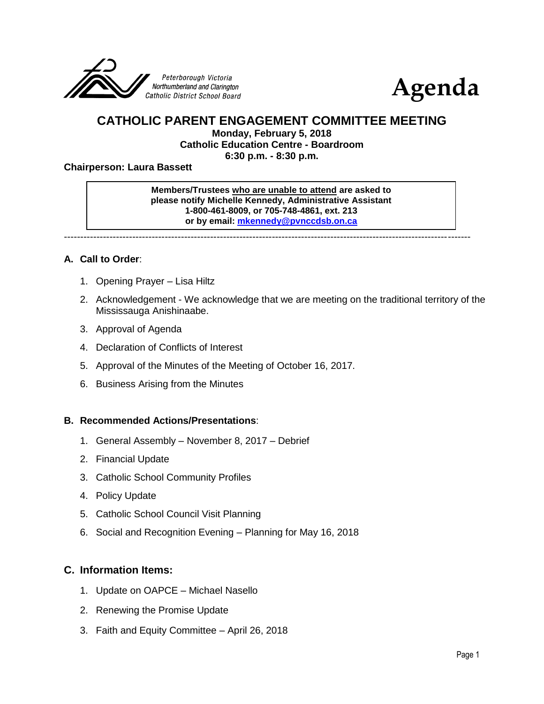



# **CATHOLIC PARENT ENGAGEMENT COMMITTEE MEETING**

**Monday, February 5, 2018**

**Catholic Education Centre - Boardroom**

**6:30 p.m. - 8:30 p.m.**

#### **Chairperson: Laura Bassett**

#### **Members/Trustees who are unable to attend are asked to please notify Michelle Kennedy, Administrative Assistant 1-800-461-8009, or 705-748-4861, ext. 213 or by email: [mkennedy@pvnccdsb.on.ca](mailto:mkennedy@pvnccdsb.on.ca)**

-----------------------------------------------------------------------------------------------------------------------------

## **A. Call to Order**:

- 1. Opening Prayer Lisa Hiltz
- 2. Acknowledgement We acknowledge that we are meeting on the traditional territory of the Mississauga Anishinaabe.
- 3. Approval of Agenda
- 4. Declaration of Conflicts of Interest
- 5. Approval of the Minutes of the Meeting of October 16, 2017.
- 6. Business Arising from the Minutes

#### **B. Recommended Actions/Presentations**:

- 1. General Assembly November 8, 2017 Debrief
- 2. Financial Update
- 3. Catholic School Community Profiles
- 4. Policy Update
- 5. Catholic School Council Visit Planning
- 6. Social and Recognition Evening Planning for May 16, 2018

## **C. Information Items:**

- 1. Update on OAPCE Michael Nasello
- 2. Renewing the Promise Update
- 3. Faith and Equity Committee April 26, 2018